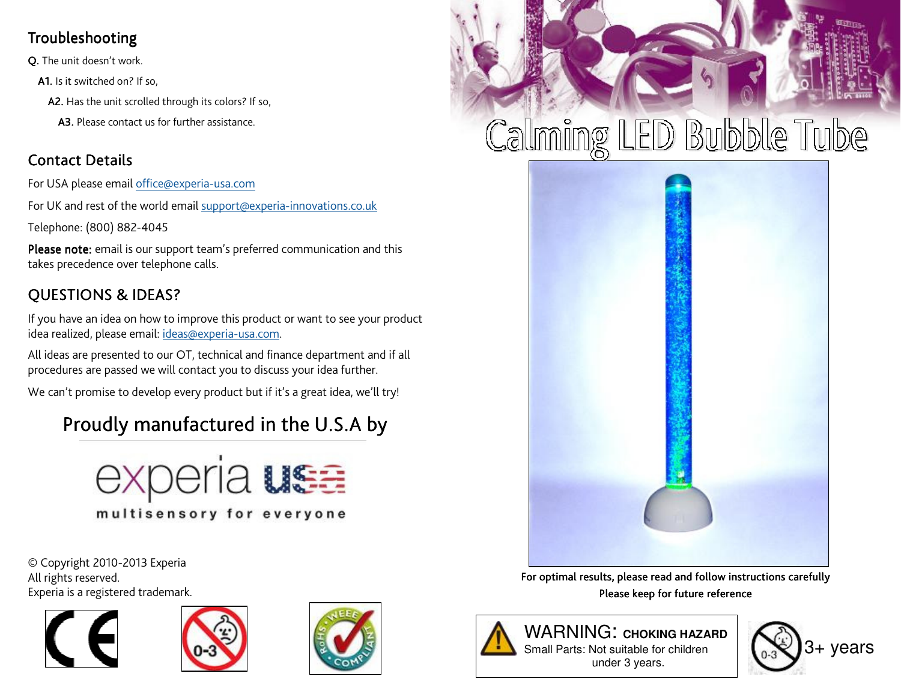## Troubleshooting

Q. The unit doesn't work.

A1. Is it switched on? If so,

**A2.** Has the unit scrolled through its colors? If so,

A3. Please contact us for further assistance.

## Contact Details

For USA please email office@experia-usa.com

For UK and rest of the world email **support@experia-innovations.co.uk** 

Telephone: (800) 882-4045

Please note: email is our support team's preferred communication and this takes precedence over telephone calls.

## QUESTIONS & IDEAS?

If you have an idea on how to improve this product or want to see your product idea realized, please email: ideas@experia-usa.com.<br>All ideas are presented to our OT, technical and finance department and if all

procedures are passed we will contact you to discuss your idea further.

We can't promise to develop every product but if it's a great idea, we'll try!

# Proudly manufactured in the U.S.A by



© Copyright 2010-2013 Experia All rights reserved. Experia is a registered trademark.









For optimal results, please read and follow instructions carefully Please keep for future reference



WARNING: **CHOKING HAZARD**Small Parts: Not suitable for children under 3 years.